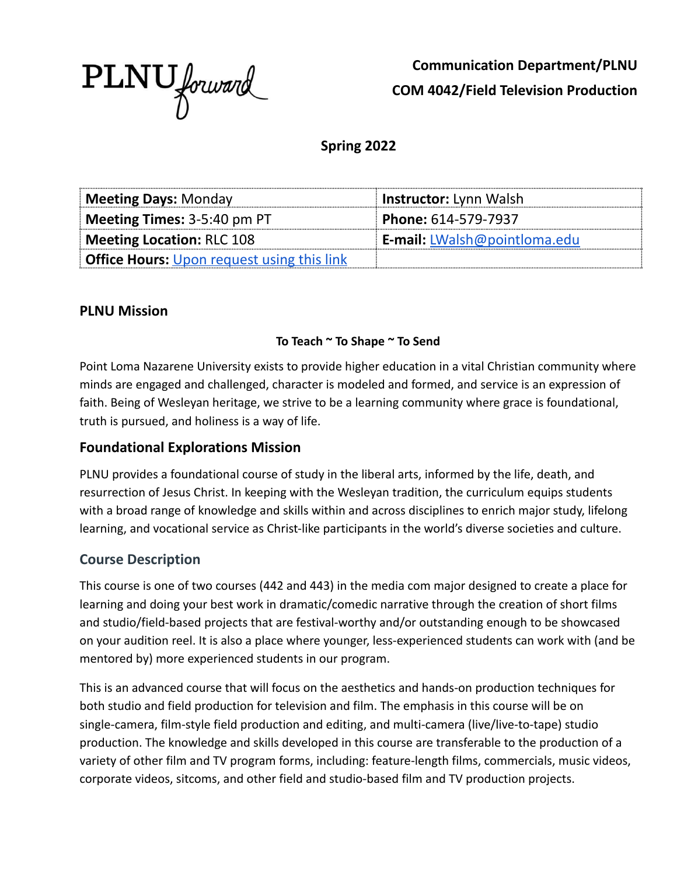

**Communication Department/PLNU COM 4042/Field Television Production**

**Spring 2022**

| <b>Meeting Days: Monday</b>                       | <b>Instructor:</b> Lynn Walsh       |
|---------------------------------------------------|-------------------------------------|
| Meeting Times: $3-5:40$ pm PT                     | Phone: 614-579-7937                 |
| Meeting Location: RLC 108                         | <b>E-mail:</b> LWalsh@pointloma.edu |
| <b>Office Hours:</b> Upon request using this link |                                     |

### **PLNU Mission**

#### **To Teach ~ To Shape ~ To Send**

Point Loma Nazarene University exists to provide higher education in a vital Christian community where minds are engaged and challenged, character is modeled and formed, and service is an expression of faith. Being of Wesleyan heritage, we strive to be a learning community where grace is foundational, truth is pursued, and holiness is a way of life.

### **Foundational Explorations Mission**

PLNU provides a foundational course of study in the liberal arts, informed by the life, death, and resurrection of Jesus Christ. In keeping with the Wesleyan tradition, the curriculum equips students with a broad range of knowledge and skills within and across disciplines to enrich major study, lifelong learning, and vocational service as Christ-like participants in the world's diverse societies and culture.

### **Course Description**

This course is one of two courses (442 and 443) in the media com major designed to create a place for learning and doing your best work in dramatic/comedic narrative through the creation of short films and studio/field-based projects that are festival-worthy and/or outstanding enough to be showcased on your audition reel. It is also a place where younger, less-experienced students can work with (and be mentored by) more experienced students in our program.

This is an advanced course that will focus on the aesthetics and hands-on production techniques for both studio and field production for television and film. The emphasis in this course will be on single-camera, film-style field production and editing, and multi-camera (live/live-to-tape) studio production. The knowledge and skills developed in this course are transferable to the production of a variety of other film and TV program forms, including: feature-length films, commercials, music videos, corporate videos, sitcoms, and other field and studio-based film and TV production projects.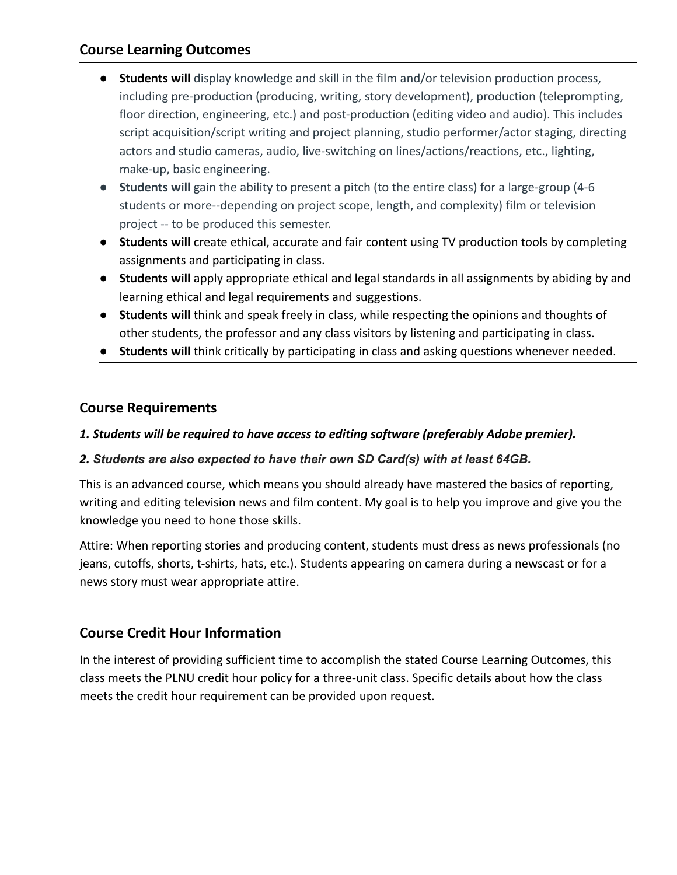## **Course Learning Outcomes**

- **Students will** display knowledge and skill in the film and/or television production process, including pre-production (producing, writing, story development), production (teleprompting, floor direction, engineering, etc.) and post-production (editing video and audio). This includes script acquisition/script writing and project planning, studio performer/actor staging, directing actors and studio cameras, audio, live-switching on lines/actions/reactions, etc., lighting, make-up, basic engineering.
- **Students will** gain the ability to present a pitch (to the entire class) for a large-group (4-6 students or more--depending on project scope, length, and complexity) film or television project -- to be produced this semester.
- **● Students will** create ethical, accurate and fair content using TV production tools by completing assignments and participating in class.
- **Students will** apply appropriate ethical and legal standards in all assignments by abiding by and learning ethical and legal requirements and suggestions.
- **Students will** think and speak freely in class, while respecting the opinions and thoughts of other students, the professor and any class visitors by listening and participating in class.
- **Students will** think critically by participating in class and asking questions whenever needed.

## **Course Requirements**

### *1. Students will be required to have access to editing software (preferably Adobe premier).*

#### *2. Students are also expected to have their own SD Card(s) with at least 64GB.*

This is an advanced course, which means you should already have mastered the basics of reporting, writing and editing television news and film content. My goal is to help you improve and give you the knowledge you need to hone those skills.

Attire: When reporting stories and producing content, students must dress as news professionals (no jeans, cutoffs, shorts, t-shirts, hats, etc.). Students appearing on camera during a newscast or for a news story must wear appropriate attire.

### **Course Credit Hour Information**

In the interest of providing sufficient time to accomplish the stated Course Learning Outcomes, this class meets the PLNU credit hour policy for a three-unit class. Specific details about how the class meets the credit hour requirement can be provided upon request.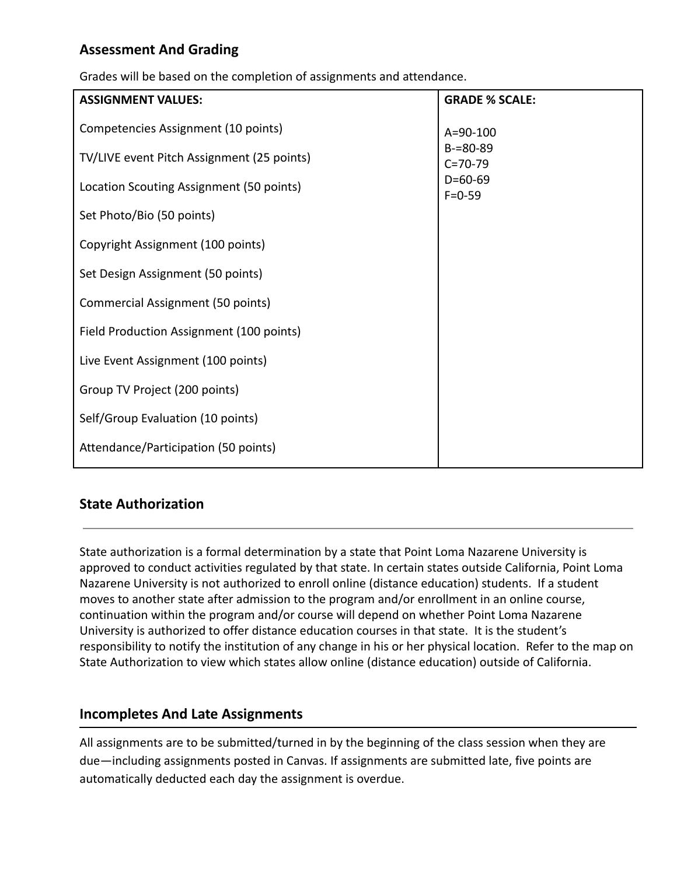# **Assessment And Grading**

Grades will be based on the completion of assignments and attendance.

| <b>ASSIGNMENT VALUES:</b>                  | <b>GRADE % SCALE:</b>          |
|--------------------------------------------|--------------------------------|
| Competencies Assignment (10 points)        | $A = 90 - 100$                 |
| TV/LIVE event Pitch Assignment (25 points) | $B = 80 - 89$<br>$C = 70 - 79$ |
| Location Scouting Assignment (50 points)   | $D=60-69$<br>$F = 0 - 59$      |
| Set Photo/Bio (50 points)                  |                                |
| Copyright Assignment (100 points)          |                                |
| Set Design Assignment (50 points)          |                                |
| <b>Commercial Assignment (50 points)</b>   |                                |
| Field Production Assignment (100 points)   |                                |
| Live Event Assignment (100 points)         |                                |
| Group TV Project (200 points)              |                                |
| Self/Group Evaluation (10 points)          |                                |
| Attendance/Participation (50 points)       |                                |

## **State Authorization**

State authorization is a formal determination by a state that Point Loma Nazarene University is approved to conduct activities regulated by that state. In certain states outside California, Point Loma Nazarene University is not authorized to enroll online (distance education) students. If a student moves to another state after admission to the program and/or enrollment in an online course, continuation within the program and/or course will depend on whether Point Loma Nazarene University is authorized to offer distance education courses in that state. It is the student's responsibility to notify the institution of any change in his or her physical location. Refer to the map on State Authorization to view which states allow online (distance education) outside of California.

### **Incompletes And Late Assignments**

All assignments are to be submitted/turned in by the beginning of the class session when they are due—including assignments posted in Canvas. If assignments are submitted late, five points are automatically deducted each day the assignment is overdue.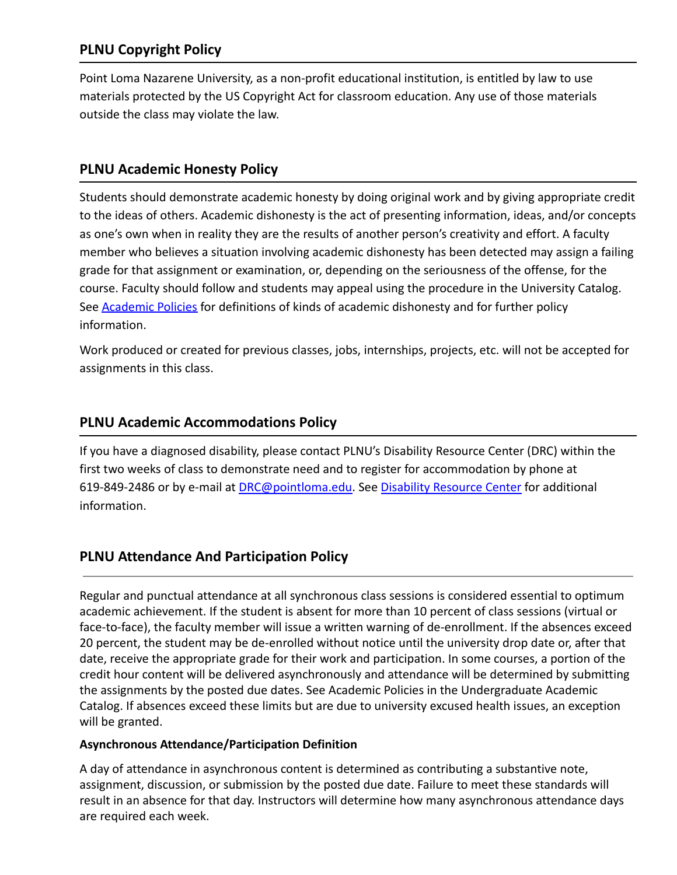# **PLNU Copyright Policy**

Point Loma Nazarene University, as a non-profit educational institution, is entitled by law to use materials protected by the US Copyright Act for classroom education. Any use of those materials outside the class may violate the law.

## **PLNU Academic Honesty Policy**

Students should demonstrate academic honesty by doing original work and by giving appropriate credit to the ideas of others. Academic dishonesty is the act of presenting information, ideas, and/or concepts as one's own when in reality they are the results of another person's creativity and effort. A faculty member who believes a situation involving academic dishonesty has been detected may assign a failing grade for that assignment or examination, or, depending on the seriousness of the offense, for the course. Faculty should follow and students may appeal using the procedure in the University Catalog. See [Academic Policies](http://catalog.pointloma.edu/content.php?catoid=18&navoid=1278) for definitions of kinds of academic dishonesty and for further policy information.

Work produced or created for previous classes, jobs, internships, projects, etc. will not be accepted for assignments in this class.

## **PLNU Academic Accommodations Policy**

If you have a diagnosed disability, please contact PLNU's Disability Resource Center (DRC) within the first two weeks of class to demonstrate need and to register for accommodation by phone at 619-849-2486 or by e-mail at [DRC@pointloma.edu.](mailto:DRC@pointloma.edu) See [Disability Resource Center](http://www.pointloma.edu/experience/offices/administrative-offices/academic-advising-office/disability-resource-center) for additional information.

## **PLNU Attendance And Participation Policy**

Regular and punctual attendance at all synchronous class sessions is considered essential to optimum academic achievement. If the student is absent for more than 10 percent of class sessions (virtual or face-to-face), the faculty member will issue a written warning of de-enrollment. If the absences exceed 20 percent, the student may be de-enrolled without notice until the university drop date or, after that date, receive the appropriate grade for their work and participation. In some courses, a portion of the credit hour content will be delivered asynchronously and attendance will be determined by submitting the assignments by the posted due dates. See Academic Policies in the Undergraduate Academic Catalog. If absences exceed these limits but are due to university excused health issues, an exception will be granted.

#### **Asynchronous Attendance/Participation Definition**

A day of attendance in asynchronous content is determined as contributing a substantive note, assignment, discussion, or submission by the posted due date. Failure to meet these standards will result in an absence for that day. Instructors will determine how many asynchronous attendance days are required each week.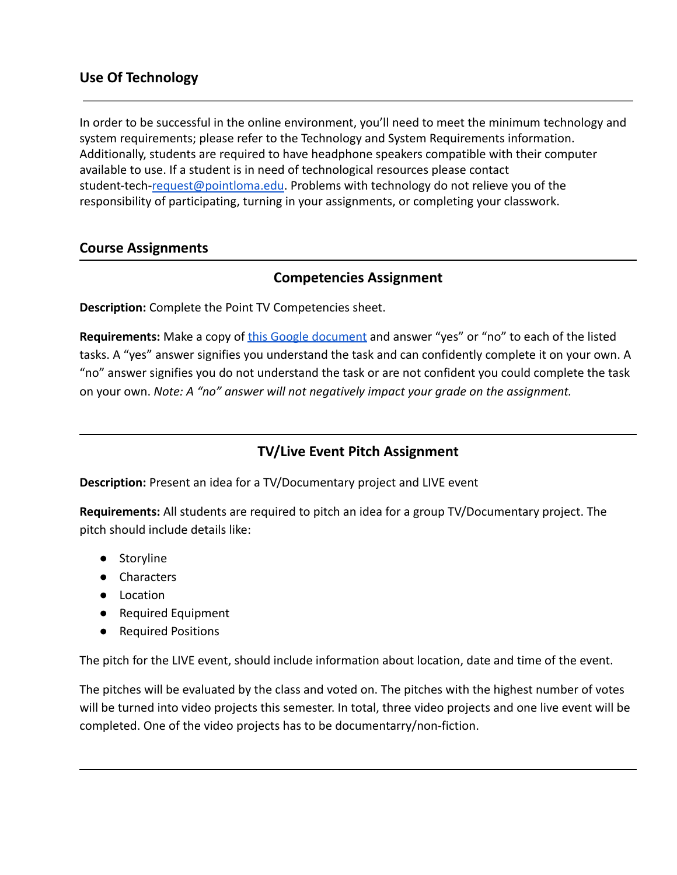## **Use Of Technology**

In order to be successful in the online environment, you'll need to meet the minimum technology and system requirements; please refer to the Technology and System Requirements information. Additionally, students are required to have headphone speakers compatible with their computer available to use. If a student is in need of technological resources please contact student-tech-[request@pointloma.edu](mailto:request@pointloma.edu). Problems with technology do not relieve you of the responsibility of participating, turning in your assignments, or completing your classwork.

#### **Course Assignments**

### **Competencies Assignment**

**Description:** Complete the Point TV Competencies sheet.

Requirements: Make a copy of [this Google document](https://docs.google.com/document/d/1I2jVIj-85rw0xV7UqYMqBI3Lv5V6ElNcbYN7cnEq1UY/edit?usp=sharing) and answer "yes" or "no" to each of the listed tasks. A "yes" answer signifies you understand the task and can confidently complete it on your own. A "no" answer signifies you do not understand the task or are not confident you could complete the task on your own. *Note: A "no" answer will not negatively impact your grade on the assignment.*

## **TV/Live Event Pitch Assignment**

**Description:** Present an idea for a TV/Documentary project and LIVE event

**Requirements:** All students are required to pitch an idea for a group TV/Documentary project. The pitch should include details like:

- Storyline
- Characters
- Location
- Required Equipment
- Required Positions

The pitch for the LIVE event, should include information about location, date and time of the event.

The pitches will be evaluated by the class and voted on. The pitches with the highest number of votes will be turned into video projects this semester. In total, three video projects and one live event will be completed. One of the video projects has to be documentarry/non-fiction.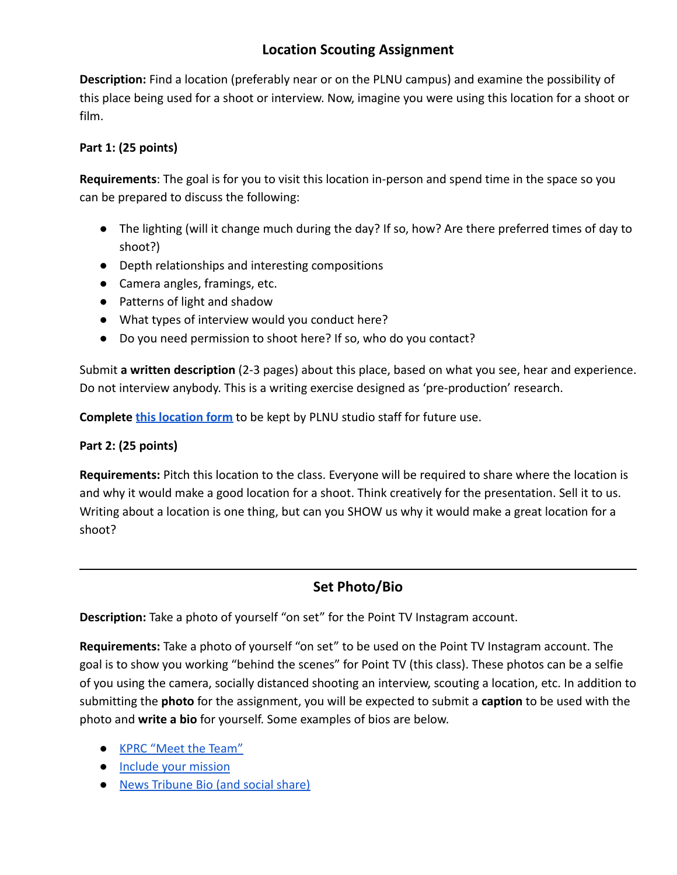# **Location Scouting Assignment**

**Description:** Find a location (preferably near or on the PLNU campus) and examine the possibility of this place being used for a shoot or interview. Now, imagine you were using this location for a shoot or film.

#### **Part 1: (25 points)**

**Requirements**: The goal is for you to visit this location in-person and spend time in the space so you can be prepared to discuss the following:

- The lighting (will it change much during the day? If so, how? Are there preferred times of day to shoot?)
- Depth relationships and interesting compositions
- Camera angles, framings, etc.
- Patterns of light and shadow
- What types of interview would you conduct here?
- Do you need permission to shoot here? If so, who do you contact?

Submit **a written description** (2-3 pages) about this place, based on what you see, hear and experience. Do not interview anybody. This is a writing exercise designed as 'pre-production' research.

**Complete [this location form](https://docs.google.com/forms/d/e/1FAIpQLSf-y1eSo4dc-y3wdeDKXZa5zREl7EfwuO5knso8QX1xWhvesw/viewform?usp=sf_link)** to be kept by PLNU studio staff for future use.

#### **Part 2: (25 points)**

**Requirements:** Pitch this location to the class. Everyone will be required to share where the location is and why it would make a good location for a shoot. Think creatively for the presentation. Sell it to us. Writing about a location is one thing, but can you SHOW us why it would make a great location for a shoot?

## **Set Photo/Bio**

**Description:** Take a photo of yourself "on set" for the Point TV Instagram account.

**Requirements:** Take a photo of yourself "on set" to be used on the Point TV Instagram account. The goal is to show you working "behind the scenes" for Point TV (this class). These photos can be a selfie of you using the camera, socially distanced shooting an interview, scouting a location, etc. In addition to submitting the **photo** for the assignment, you will be expected to submit a **caption** to be used with the photo and **write a bio** for yourself. Some examples of bios are below.

- [KPRC "Meet the Team"](https://www.click2houston.com/team/)
- [Include your mission](https://medium.com/trusting-news/what-would-happen-if-every-journalist-defined-their-mission-e85738df31dd)
- [News Tribune Bio \(and social share\)](https://www.facebook.com/newstribune/photos/a.10150090854247162/10155920280092162/?type=3&theater)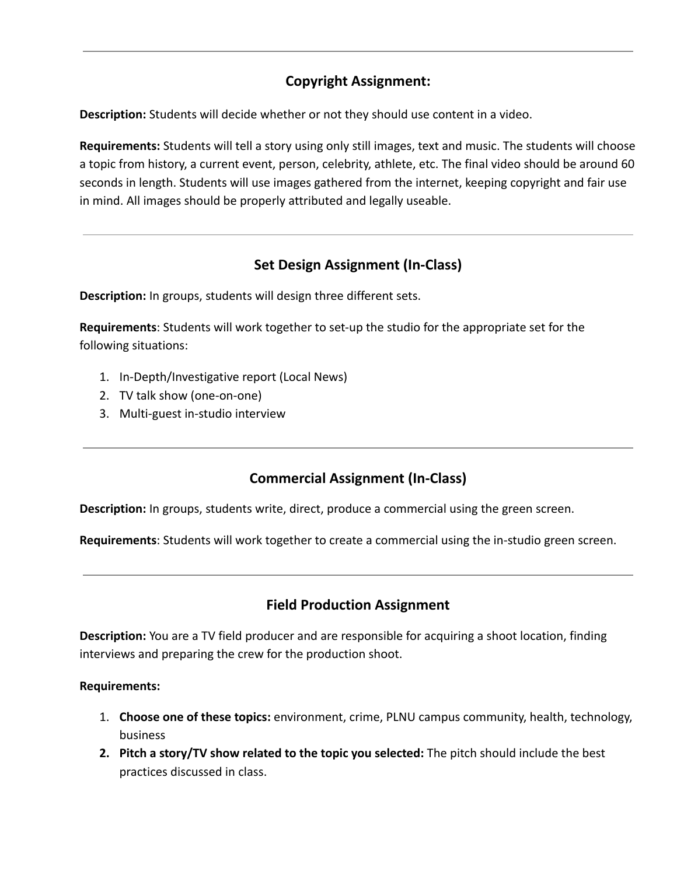# **Copyright Assignment:**

**Description:** Students will decide whether or not they should use content in a video.

**Requirements:** Students will tell a story using only still images, text and music. The students will choose a topic from history, a current event, person, celebrity, athlete, etc. The final video should be around 60 seconds in length. Students will use images gathered from the internet, keeping copyright and fair use in mind. All images should be properly attributed and legally useable.

# **Set Design Assignment (In-Class)**

**Description:** In groups, students will design three different sets.

**Requirements**: Students will work together to set-up the studio for the appropriate set for the following situations:

- 1. In-Depth/Investigative report (Local News)
- 2. TV talk show (one-on-one)
- 3. Multi-guest in-studio interview

# **Commercial Assignment (In-Class)**

**Description:** In groups, students write, direct, produce a commercial using the green screen.

**Requirements**: Students will work together to create a commercial using the in-studio green screen.

## **Field Production Assignment**

**Description:** You are a TV field producer and are responsible for acquiring a shoot location, finding interviews and preparing the crew for the production shoot.

#### **Requirements:**

- 1. **Choose one of these topics:** environment, crime, PLNU campus community, health, technology, business
- **2. Pitch a story/TV show related to the topic you selected:** The pitch should include the best practices discussed in class.